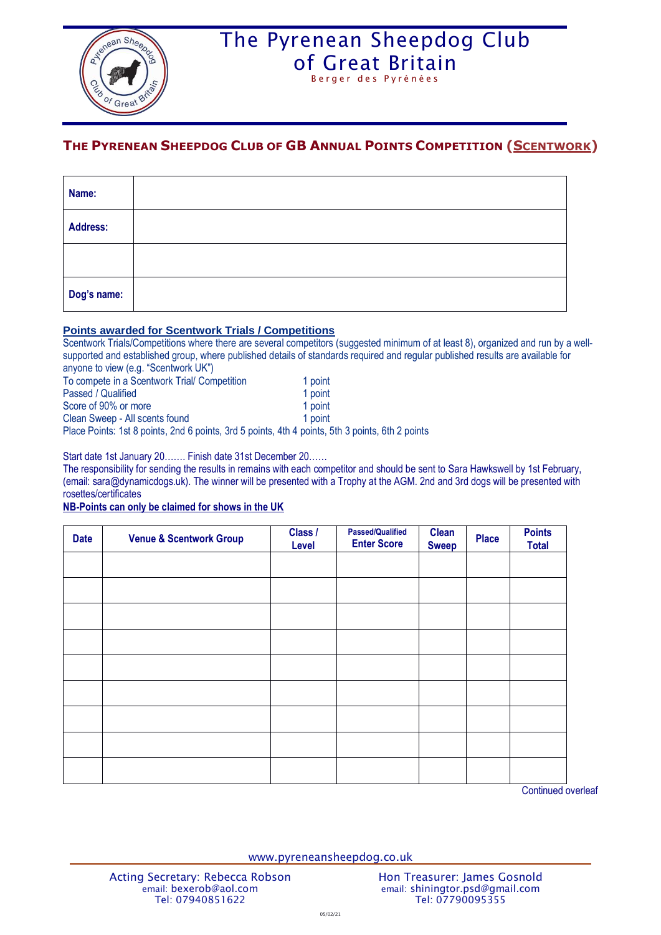

# The Pyrenean Sheepdog Club [of Great Britain](http://www.pyreneansheepdog.co.uk/index.htm)

Berger des Pyrénées

### **THE PYRENEAN SHEEPDOG CLUB OF GB ANNUAL POINTS COMPETITION (SCENTWORK)**

| Name:       |  |
|-------------|--|
| Address:    |  |
|             |  |
| Dog's name: |  |

#### **Points awarded for Scentwork Trials / Competitions**

Scentwork Trials/Competitions where there are several competitors (suggested minimum of at least 8), organized and run by a wellsupported and established group, where published details of standards required and regular published results are available for anyone to view (e.g. "Scentwork UK")

| To compete in a Scentwork Trial/ Competition                                | 1 point |  |  |
|-----------------------------------------------------------------------------|---------|--|--|
| Passed / Qualified                                                          | 1 point |  |  |
| Score of 90% or more                                                        | 1 point |  |  |
| Clean Sweep - All scents found                                              | 1 point |  |  |
| Dlago Dointe: 1et 8 points, 2nd 6 points, 3rd 5 points, 4th 4 points, 5th 1 |         |  |  |

Place Points: 1st 8 points, 2nd 6 points, 3rd 5 points, 4th 4 points, 5th 3 points, 6th 2 points

Start date 1st January 20……. Finish date 31st December 20……

The responsibility for sending the results in remains with each competitor and should be sent to Sara Hawkswell by 1st February, (email: sara@dynamicdogs.uk). The winner will be presented with a Trophy at the AGM. 2nd and 3rd dogs will be presented with rosettes/certificates

### **NB-Points can only be claimed for shows in the UK**

| <b>Date</b> | <b>Venue &amp; Scentwork Group</b> | Class /<br>Level | <b>Passed/Qualified</b><br><b>Enter Score</b> | <b>Clean</b><br><b>Sweep</b> | <b>Place</b> | <b>Points</b><br><b>Total</b> |
|-------------|------------------------------------|------------------|-----------------------------------------------|------------------------------|--------------|-------------------------------|
|             |                                    |                  |                                               |                              |              |                               |
|             |                                    |                  |                                               |                              |              |                               |
|             |                                    |                  |                                               |                              |              |                               |
|             |                                    |                  |                                               |                              |              |                               |
|             |                                    |                  |                                               |                              |              |                               |
|             |                                    |                  |                                               |                              |              |                               |
|             |                                    |                  |                                               |                              |              |                               |
|             |                                    |                  |                                               |                              |              |                               |
|             |                                    |                  |                                               |                              |              |                               |

Continued overleaf

www.pyreneansheepdog.co.uk